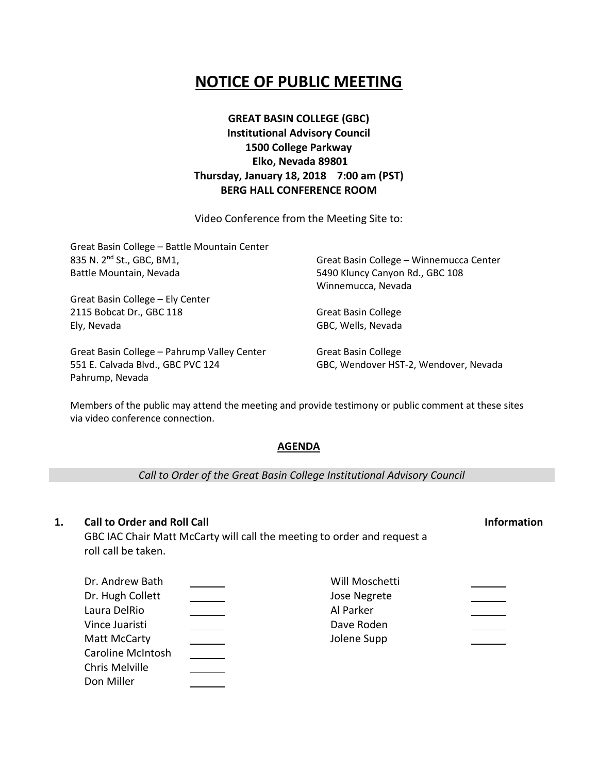# **NOTICE OF PUBLIC MEETING**

# **GREAT BASIN COLLEGE (GBC) Institutional Advisory Council 1500 College Parkway Elko, Nevada 89801 Thursday, January 18, 2018 7:00 am (PST) BERG HALL CONFERENCE ROOM**

Video Conference from the Meeting Site to:

| Great Basin College - Battle Mountain Center |                                         |
|----------------------------------------------|-----------------------------------------|
| 835 N. 2 <sup>nd</sup> St., GBC, BM1,        | Great Basin College - Winnemucca Center |
| Battle Mountain, Nevada                      | 5490 Kluncy Canyon Rd., GBC 108         |
|                                              | Winnemucca, Nevada                      |
| Great Basin College - Ely Center             |                                         |
| 2115 Bobcat Dr., GBC 118                     | <b>Great Basin College</b>              |
| Ely, Nevada                                  | GBC, Wells, Nevada                      |
| Great Basin College - Pahrump Valley Center  | <b>Great Basin College</b>              |
| 551 E. Calvada Blvd., GBC PVC 124            | GBC, Wendover HST-2, Wendover, Nevada   |

Members of the public may attend the meeting and provide testimony or public comment at these sites via video conference connection.

## **AGENDA**

*Call to Order of the Great Basin College Institutional Advisory Council*

## **1. Call to Order and Roll Call Information**

Pahrump, Nevada

GBC IAC Chair Matt McCarty will call the meeting to order and request a roll call be taken.

| Dr. Andrew Bath          | Will Moschetti |  |
|--------------------------|----------------|--|
| Dr. Hugh Collett         | Jose Negrete   |  |
| Laura DelRio             | Al Parker      |  |
| Vince Juaristi           | Dave Roden     |  |
| Matt McCarty             | Jolene Supp    |  |
| <b>Caroline McIntosh</b> |                |  |
| Chris Melville           |                |  |
| Don Miller               |                |  |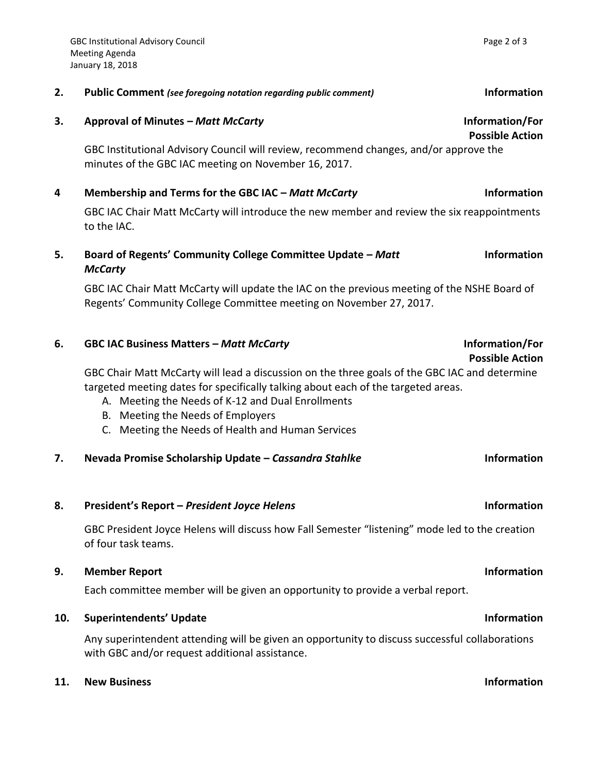| <b>Possible Action</b><br>GBC Institutional Advisory Council will review, recommend changes, and/or approve the |
|-----------------------------------------------------------------------------------------------------------------|
|                                                                                                                 |
|                                                                                                                 |
|                                                                                                                 |
| <b>Information</b>                                                                                              |
| GBC IAC Chair Matt McCarty will introduce the new member and review the six reappointments                      |
|                                                                                                                 |
| <b>Information</b>                                                                                              |
|                                                                                                                 |
| GBC IAC Chair Matt McCarty will update the IAC on the previous meeting of the NSHE Board of                     |
|                                                                                                                 |
| Information/For                                                                                                 |
| <b>Possible Action</b>                                                                                          |
| GBC Chair Matt McCarty will lead a discussion on the three goals of the GBC IAC and determine                   |
| targeted meeting dates for specifically talking about each of the targeted areas.                               |
|                                                                                                                 |

A. Meeting the Needs of K-12 and Dual Enrollments

B. Meeting the Needs of Employers

C. Meeting the Needs of Health and Human Services

# **7. Nevada Promise Scholarship Update –** *Cassandra Stahlke* **Information**

# **8. President's Report –** *President Joyce Helens* **Information**

GBC President Joyce Helens will discuss how Fall Semester "listening" mode led to the creation of four task teams.

# **9. Member Report Information**

Each committee member will be given an opportunity to provide a verbal report.

# **10. Superintendents' Update Information**

Any superintendent attending will be given an opportunity to discuss successful collaborations with GBC and/or request additional assistance.

# **11. New Business Information**

# **2. Public Comment** *(see foregoing notation regarding public comment)* **Information**

# **Possible Action**

# **Possible Action**